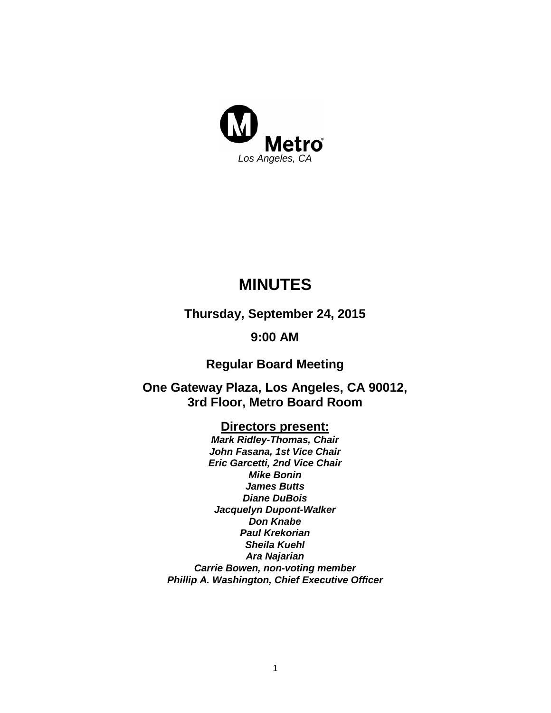

# **MINUTES**

**Thursday, September 24, 2015**

# **9:00 AM**

**Regular Board Meeting**

**One Gateway Plaza, Los Angeles, CA 90012, 3rd Floor, Metro Board Room**

## **Directors present:**

*Mark Ridley-Thomas, Chair John Fasana, 1st Vice Chair Eric Garcetti, 2nd Vice Chair Mike Bonin James Butts Diane DuBois Jacquelyn Dupont-Walker Don Knabe Paul Krekorian Sheila Kuehl Ara Najarian Carrie Bowen, non-voting member Phillip A. Washington, Chief Executive Officer*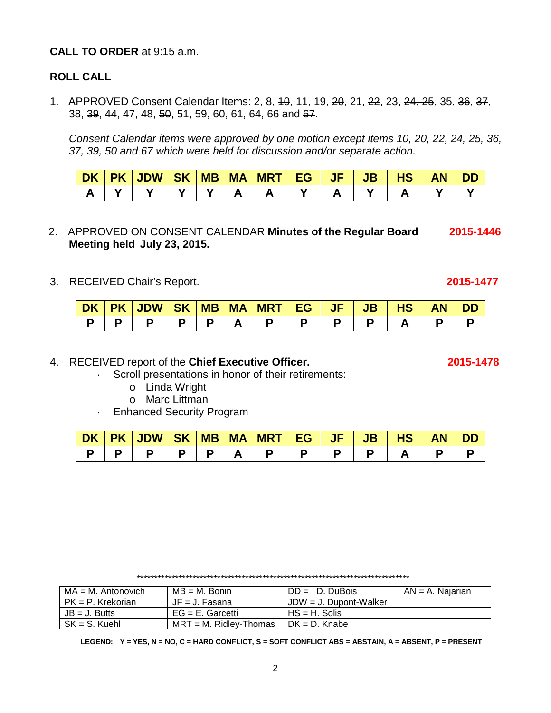### 4.RECEIVED report of the **Chief Executive Officer. 2015-1478**

- · Scroll presentations in honor of their retirements:
	- o Linda Wright
	- o Marc Littman
- · Enhanced Security Program

| <b>DK</b> | <b>JDW</b> | <b>SK</b> | <b>MB</b> | $\mathsf{I}$ MA | <b>MRT</b> | FG. | . . | 10. | ΑN |  |
|-----------|------------|-----------|-----------|-----------------|------------|-----|-----|-----|----|--|
|           |            |           |           |                 |            |     |     | _   |    |  |

\*\*\*\*\*\*\*\*\*\*\*\*\*\*\*\*\*\*\*\*\*\*\*\*\*\*\*\*\*\*\*\*\*\*\*\*\*\*\*\*\*\*\*\*\*\*\*\*\*\*\*\*\*\*\*\*\*\*\*\*\*\*\*\*\*\*\*\*\*\*\*\*\*\*\*\*\*\*

| $MA = M$ . Antonovich | MB = M. Bonin             | $DD = D$ . DuBois         | AN = A. Najarian |
|-----------------------|---------------------------|---------------------------|------------------|
| PK = P. Krekorian     | $JF = J$ . Fasana         | $JDW = J$ . Dupont-Walker |                  |
| $JB = J.$ Butts       | $EG = E$ . Garcetti       | $HS = H$ . Solis          |                  |
| $SK = S$ . Kuehl      | $MRT = M$ . Ridlev-Thomas | $DK = D.$ Knabe           |                  |

**LEGEND: Y = YES, N = NO, C = HARD CONFLICT, S = SOFT CONFLICT ABS = ABSTAIN, A = ABSENT, P = PRESENT**

# **CALL TO ORDER** at 9:15 a.m.

### **ROLL CALL**

1. APPROVED Consent Calendar Items: 2, 8, 40, 11, 19, 20, 21, 22, 23, 24, 25, 35, 36, 37, 38, 39, 44, 47, 48, 50, 51, 59, 60, 61, 64, 66 and 67.

*Consent Calendar items were approved by one motion except items 10, 20, 22, 24, 25, 36, 37, 39, 50 and 67 which were held for discussion and/or separate action.*

| <b>DK</b> | <b>PK</b> | <b>JDW</b> | <b>SK</b> | <b>MB</b> | <b>MA</b> | <b>MRT</b> | <b>EG</b> | --<br>$\mathsf{J}\mathsf{F}$ | JB | пэ | <b>AN</b> |  |
|-----------|-----------|------------|-----------|-----------|-----------|------------|-----------|------------------------------|----|----|-----------|--|
|           |           |            |           |           |           |            |           |                              |    |    |           |  |

- 2.APPROVED ON CONSENT CALENDAR **Minutes of the Regular Board 2015-1446 Meeting held July 23, 2015.**
- 3.RECEIVED Chair's Report. **2015-1477**

| DK. | $P$ K $\blacktriangleright$ | JDW   SK   MB   MA |    |  | <b>NRT EG</b> | <b>JF</b> | JB | нэ | Ш |
|-----|-----------------------------|--------------------|----|--|---------------|-----------|----|----|---|
|     |                             | D.                 | D. |  |               |           |    |    |   |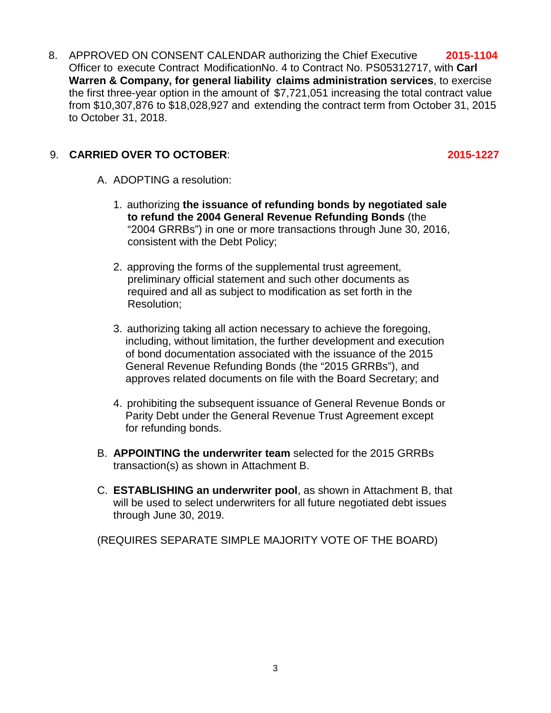8. APPROVED ON CONSENT CALENDAR authorizing the Chief Executive **2015-1104** Officer to execute Contract ModificationNo. 4 to Contract No. PS05312717, with **Carl Warren & Company, for general liability claims administration services**, to exercise the first three-year option in the amount of \$7,721,051 increasing the total contract value from \$10,307,876 to \$18,028,927 and extending the contract term from October 31, 2015 to October 31, 2018.

## 9. **CARRIED OVER TO OCTOBER**: **2015-1227**

- A. ADOPTING a resolution:
	- 1. authorizing **the issuance of refunding bonds by negotiated sale to refund the 2004 General Revenue Refunding Bonds** (the "2004 GRRBs") in one or more transactions through June 30, 2016, consistent with the Debt Policy;
	- 2. approving the forms of the supplemental trust agreement, preliminary official statement and such other documents as required and all as subject to modification as set forth in the Resolution;
	- 3. authorizing taking all action necessary to achieve the foregoing, including, without limitation, the further development and execution of bond documentation associated with the issuance of the 2015 General Revenue Refunding Bonds (the "2015 GRRBs"), and approves related documents on file with the Board Secretary; and
	- 4. prohibiting the subsequent issuance of General Revenue Bonds or Parity Debt under the General Revenue Trust Agreement except for refunding bonds.
- B. **APPOINTING the underwriter team** selected for the 2015 GRRBs transaction(s) as shown in Attachment B.
- C. **ESTABLISHING an underwriter pool**, as shown in Attachment B, that will be used to select underwriters for all future negotiated debt issues through June 30, 2019.

(REQUIRES SEPARATE SIMPLE MAJORITY VOTE OF THE BOARD)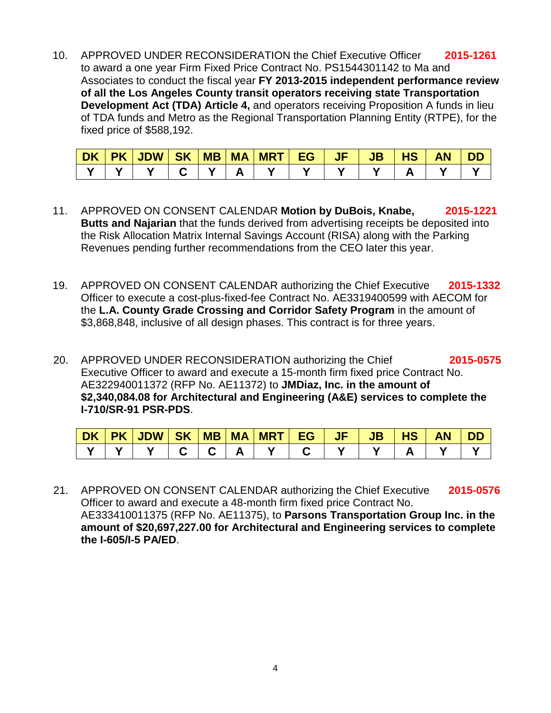10. APPROVED UNDER RECONSIDERATION the Chief Executive Officer **2015-1261** to award a one year Firm Fixed Price Contract No. PS1544301142 to Ma and Associates to conduct the fiscal year **FY 2013-2015 independent performance review of all the Los Angeles County transit operators receiving state Transportation Development Act (TDA) Article 4,** and operators receiving Proposition A funds in lieu of TDA funds and Metro as the Regional Transportation Planning Entity (RTPE), for the fixed price of \$588,192.

| DK | PK   JDW   SK   MB   MA   MRT   EG |  |  | <b>JF</b> | $\overline{\mathsf{J}\mathsf{B}}$ | <b>TO</b> | <b>AN</b> | <b>DD</b> |
|----|------------------------------------|--|--|-----------|-----------------------------------|-----------|-----------|-----------|
|    |                                    |  |  |           |                                   |           |           |           |

- 11. APPROVED ON CONSENT CALENDAR **Motion by DuBois, Knabe, 2015-1221 Butts and Najarian** that the funds derived from advertising receipts be deposited into the Risk Allocation Matrix Internal Savings Account (RISA) along with the Parking Revenues pending further recommendations from the CEO later this year.
- 19. APPROVED ON CONSENT CALENDAR authorizing the Chief Executive **2015-1332** Officer to execute a cost-plus-fixed-fee Contract No. AE3319400599 with AECOM for the **L.A. County Grade Crossing and Corridor Safety Program** in the amount of \$3,868,848, inclusive of all design phases. This contract is for three years.
- 20. APPROVED UNDER RECONSIDERATION authorizing the Chief **2015-0575** Executive Officer to award and execute a 15-month firm fixed price Contract No. AE322940011372 (RFP No. AE11372) to **JMDiaz, Inc. in the amount of \$2,340,084.08 for Architectural and Engineering (A&E) services to complete the I-710/SR-91 PSR-PDS**.

| <b>DK</b> | <b>PK</b> | JDW SK | <b>MB   MA</b> | <b>MRT</b> | EG | JB | пэ | AN |  |
|-----------|-----------|--------|----------------|------------|----|----|----|----|--|
|           |           |        |                |            |    |    |    |    |  |

21. APPROVED ON CONSENT CALENDAR authorizing the Chief Executive **2015-0576** Officer to award and execute a 48-month firm fixed price Contract No. AE333410011375 (RFP No. AE11375), to **Parsons Transportation Group Inc. in the amount of \$20,697,227.00 for Architectural and Engineering services to complete the I-605/I-5 PA/ED**.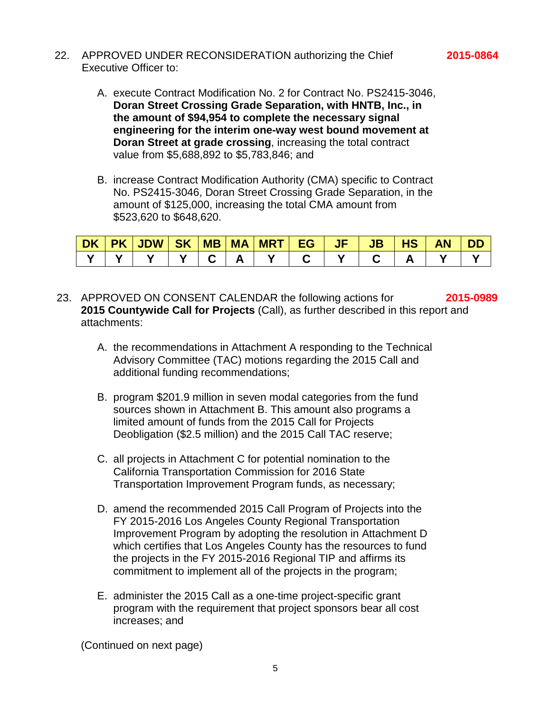- 22. APPROVED UNDER RECONSIDERATION authorizing the Chief **2015-0864** Executive Officer to:
	- A. execute Contract Modification No. 2 for Contract No. PS2415-3046, **Doran Street Crossing Grade Separation, with HNTB, Inc., in the amount of \$94,954 to complete the necessary signal engineering for the interim one-way west bound movement at Doran Street at grade crossing**, increasing the total contract value from \$5,688,892 to \$5,783,846; and
	- B. increase Contract Modification Authority (CMA) specific to Contract No. PS2415-3046, Doran Street Crossing Grade Separation, in the amount of \$125,000, increasing the total CMA amount from \$523,620 to \$648,620.

|  | DK   PK   JDW   SK   MB   MA   MRT   EG |  |  | - JF - | <b>JB</b> | <b>THS</b> | <b>AN</b> | <b>DD</b> |
|--|-----------------------------------------|--|--|--------|-----------|------------|-----------|-----------|
|  |                                         |  |  |        |           |            |           |           |

- 23. APPROVED ON CONSENT CALENDAR the following actions for **2015-0989 2015 Countywide Call for Projects** (Call), as further described in this report and attachments:
	- A. the recommendations in Attachment A responding to the Technical Advisory Committee (TAC) motions regarding the 2015 Call and additional funding recommendations;
	- B. program \$201.9 million in seven modal categories from the fund sources shown in Attachment B. This amount also programs a limited amount of funds from the 2015 Call for Projects Deobligation (\$2.5 million) and the 2015 Call TAC reserve;
	- C. all projects in Attachment C for potential nomination to the California Transportation Commission for 2016 State Transportation Improvement Program funds, as necessary;
	- D. amend the recommended 2015 Call Program of Projects into the FY 2015-2016 Los Angeles County Regional Transportation Improvement Program by adopting the resolution in Attachment D which certifies that Los Angeles County has the resources to fund the projects in the FY 2015-2016 Regional TIP and affirms its commitment to implement all of the projects in the program;
	- E. administer the 2015 Call as a one-time project-specific grant program with the requirement that project sponsors bear all cost increases; and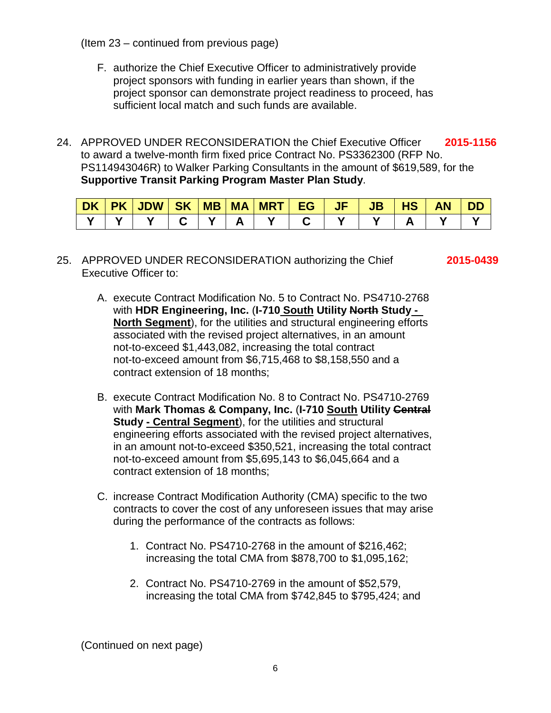(Item 23 – continued from previous page)

- F. authorize the Chief Executive Officer to administratively provide project sponsors with funding in earlier years than shown, if the project sponsor can demonstrate project readiness to proceed, has sufficient local match and such funds are available.
- 24. APPROVED UNDER RECONSIDERATION the Chief Executive Officer **2015-1156** to award a twelve-month firm fixed price Contract No. PS3362300 (RFP No. PS114943046R) to Walker Parking Consultants in the amount of \$619,589, for the **Supportive Transit Parking Program Master Plan Study**.

| <b>DK</b> | <b>PK</b> | <b>JDW</b> | <b>SK</b> | <b>MB</b> | <b>MA</b> | <b>MRT</b> | EG | JF | <b>JB</b> | 13 | <b>AN</b> |  |
|-----------|-----------|------------|-----------|-----------|-----------|------------|----|----|-----------|----|-----------|--|
|           |           |            |           |           |           |            |    |    |           |    |           |  |

### 25. APPROVED UNDER RECONSIDERATION authorizing the Chief **2015-0439** Executive Officer to:

- A. execute Contract Modification No. 5 to Contract No. PS4710-2768 with **HDR Engineering, Inc.** (**I-710 South Utility North Study - North Segment**), for the utilities and structural engineering efforts associated with the revised project alternatives, in an amount not-to-exceed \$1,443,082, increasing the total contract not-to-exceed amount from \$6,715,468 to \$8,158,550 and a contract extension of 18 months;
- B. execute Contract Modification No. 8 to Contract No. PS4710-2769 with **Mark Thomas & Company, Inc.** (**I-710 South Utility Central Study - Central Segment**), for the utilities and structural engineering efforts associated with the revised project alternatives, in an amount not-to-exceed \$350,521, increasing the total contract not-to-exceed amount from \$5,695,143 to \$6,045,664 and a contract extension of 18 months;
- C. increase Contract Modification Authority (CMA) specific to the two contracts to cover the cost of any unforeseen issues that may arise during the performance of the contracts as follows:
	- 1. Contract No. PS4710-2768 in the amount of \$216,462; increasing the total CMA from \$878,700 to \$1,095,162;
	- 2. Contract No. PS4710-2769 in the amount of \$52,579, increasing the total CMA from \$742,845 to \$795,424; and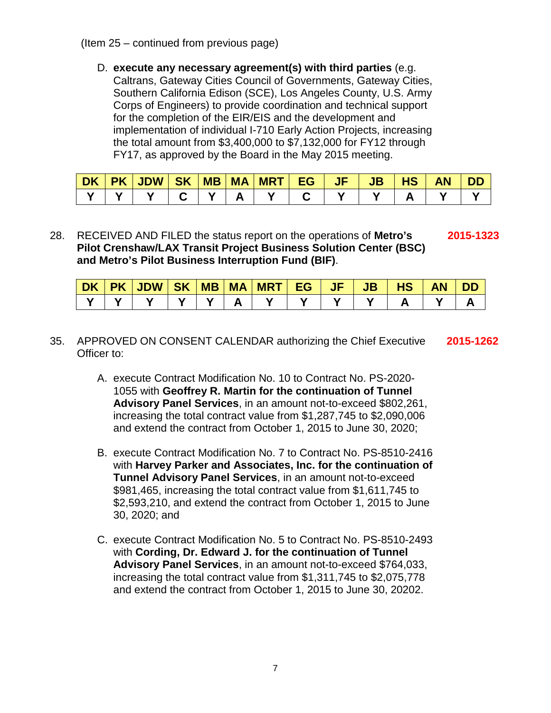D. **execute any necessary agreement(s) with third parties** (e.g.

Caltrans, Gateway Cities Council of Governments, Gateway Cities, Southern California Edison (SCE), Los Angeles County, U.S. Army Corps of Engineers) to provide coordination and technical support for the completion of the EIR/EIS and the development and implementation of individual I-710 Early Action Projects, increasing the total amount from \$3,400,000 to \$7,132,000 for FY12 through FY17, as approved by the Board in the May 2015 meeting.

| <b>DK</b> | <b>PK</b> | <b>JDW</b> | <b>SK</b> | <b>MB</b> | <b>MA</b> | <b>MRT</b> | ΕG | JF | JB | æ | AN | וכ |
|-----------|-----------|------------|-----------|-----------|-----------|------------|----|----|----|---|----|----|
|           |           |            |           |           |           |            |    |    |    |   |    |    |

28. RECEIVED AND FILED the status report on the operations of **Metro's 2015-1323 Pilot Crenshaw/LAX Transit Project Business Solution Center (BSC) and Metro's Pilot Business Interruption Fund (BIF)**.

| <b>DK</b> | PK | <b>JDW</b> | <b>SK</b> | <b>MB</b> | <b>MA</b> | <b>MRT</b> | r G | . | . | <b>TAL</b><br>пэ. | AN |  |
|-----------|----|------------|-----------|-----------|-----------|------------|-----|---|---|-------------------|----|--|
|           |    |            |           |           |           |            |     |   |   |                   |    |  |

- 35. APPROVED ON CONSENT CALENDAR authorizing the Chief Executive **2015-1262** Officer to:
	- A. execute Contract Modification No. 10 to Contract No. PS-2020- 1055 with **Geoffrey R. Martin for the continuation of Tunnel Advisory Panel Services**, in an amount not-to-exceed \$802,261, increasing the total contract value from \$1,287,745 to \$2,090,006 and extend the contract from October 1, 2015 to June 30, 2020;
	- B. execute Contract Modification No. 7 to Contract No. PS-8510-2416 with **Harvey Parker and Associates, Inc. for the continuation of Tunnel Advisory Panel Services**, in an amount not-to-exceed \$981,465, increasing the total contract value from \$1,611,745 to \$2,593,210, and extend the contract from October 1, 2015 to June 30, 2020; and
	- C. execute Contract Modification No. 5 to Contract No. PS-8510-2493 with **Cording, Dr. Edward J. for the continuation of Tunnel Advisory Panel Services**, in an amount not-to-exceed \$764,033, increasing the total contract value from \$1,311,745 to \$2,075,778 and extend the contract from October 1, 2015 to June 30, 20202.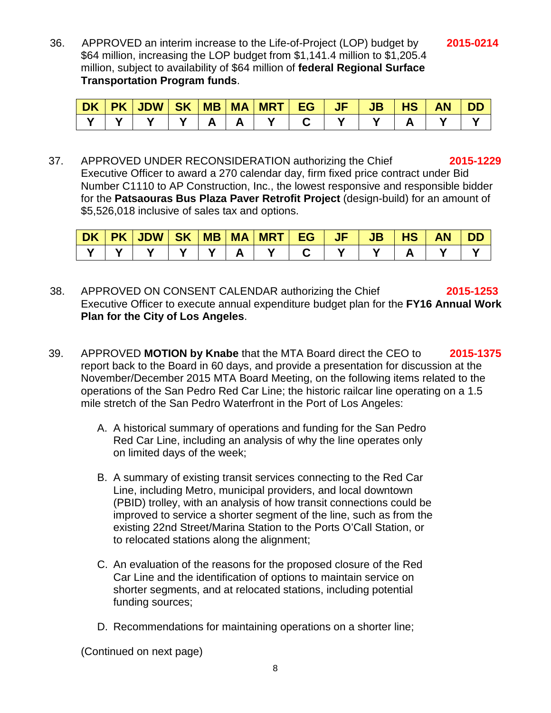36. APPROVED an interim increase to the Life-of-Project (LOP) budget by **2015-0214** \$64 million, increasing the LOP budget from \$1,141.4 million to \$1,205.4 million, subject to availability of \$64 million of **federal Regional Surface Transportation Program funds**.

| <b>DK</b> | <b>PK</b> | <b>JDW</b> | <b>SK</b> | <b>MB</b> | <b>MA</b> | <b>MRT</b> | cσ | JF | JD | пэ | AN |  |
|-----------|-----------|------------|-----------|-----------|-----------|------------|----|----|----|----|----|--|
|           |           |            |           |           |           |            |    |    |    |    |    |  |

37. APPROVED UNDER RECONSIDERATION authorizing the Chief **2015-1229** Executive Officer to award a 270 calendar day, firm fixed price contract under Bid Number C1110 to AP Construction, Inc., the lowest responsive and responsible bidder for the **Patsaouras Bus Plaza Paver Retrofit Project** (design-build) for an amount of \$5,526,018 inclusive of sales tax and options.

| <b>DK</b> | <b>PK</b> | <b>JDW</b> | <b>SK</b> | <b>MB</b> | <b>MA</b> | <b>MRT</b> | <b>EG</b> | JF | <b>JB</b> | 11A<br>пә | ΑN |  |
|-----------|-----------|------------|-----------|-----------|-----------|------------|-----------|----|-----------|-----------|----|--|
|           |           |            |           |           |           |            |           |    |           |           |    |  |

- 38. APPROVED ON CONSENT CALENDAR authorizing the Chief **2015-1253** Executive Officer to execute annual expenditure budget plan for the **FY16 Annual Work Plan for the City of Los Angeles**.
- 39. APPROVED **MOTION by Knabe** that the MTA Board direct the CEO to **2015-1375** report back to the Board in 60 days, and provide a presentation for discussion at the November/December 2015 MTA Board Meeting, on the following items related to the operations of the San Pedro Red Car Line; the historic railcar line operating on a 1.5 mile stretch of the San Pedro Waterfront in the Port of Los Angeles:
	- A. A historical summary of operations and funding for the San Pedro Red Car Line, including an analysis of why the line operates only on limited days of the week;
	- B. A summary of existing transit services connecting to the Red Car Line, including Metro, municipal providers, and local downtown (PBID) trolley, with an analysis of how transit connections could be improved to service a shorter segment of the line, such as from the existing 22nd Street/Marina Station to the Ports O'Call Station, or to relocated stations along the alignment;
	- C. An evaluation of the reasons for the proposed closure of the Red Car Line and the identification of options to maintain service on shorter segments, and at relocated stations, including potential funding sources;
	- D. Recommendations for maintaining operations on a shorter line;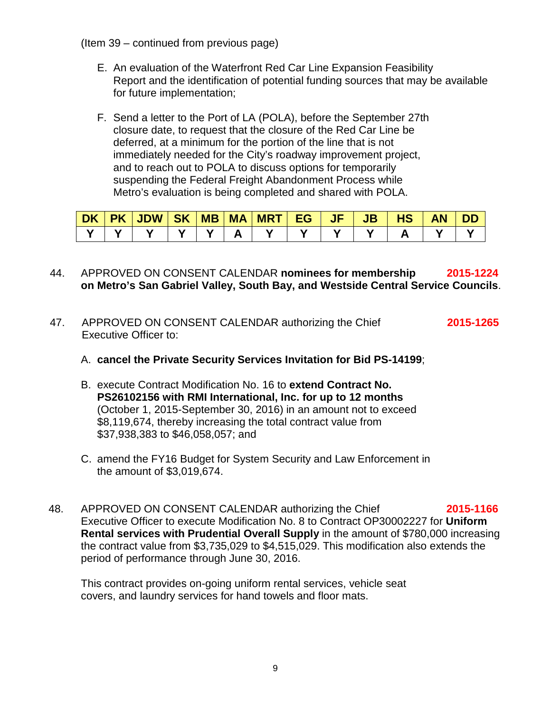(Item 39 – continued from previous page)

- E. An evaluation of the Waterfront Red Car Line Expansion Feasibility Report and the identification of potential funding sources that may be available for future implementation;
- F. Send a letter to the Port of LA (POLA), before the September 27th closure date, to request that the closure of the Red Car Line be deferred, at a minimum for the portion of the line that is not immediately needed for the City's roadway improvement project, and to reach out to POLA to discuss options for temporarily suspending the Federal Freight Abandonment Process while Metro's evaluation is being completed and shared with POLA.

| <b>DK</b> | <b>PK</b> | JDW SK | <b>MB</b> | <b>MA</b> | <b>WRT</b> | EG | $\sqrt{F}$ | JB | <b>HS</b> | <b>AN</b> | DD |
|-----------|-----------|--------|-----------|-----------|------------|----|------------|----|-----------|-----------|----|
|           |           |        |           |           |            |    |            |    |           |           |    |

- 44. APPROVED ON CONSENT CALENDAR **nominees for membership 2015-1224 on Metro's San Gabriel Valley, South Bay, and Westside Central Service Councils**.
- 47. APPROVED ON CONSENT CALENDAR authorizing the Chief **2015-1265** Executive Officer to:
	- A. **cancel the Private Security Services Invitation for Bid PS-14199**;
	- B. execute Contract Modification No. 16 to **extend Contract No. PS26102156 with RMI International, Inc. for up to 12 months** (October 1, 2015-September 30, 2016) in an amount not to exceed \$8,119,674, thereby increasing the total contract value from \$37,938,383 to \$46,058,057; and
	- C. amend the FY16 Budget for System Security and Law Enforcement in the amount of \$3,019,674.
- 48. APPROVED ON CONSENT CALENDAR authorizing the Chief **2015-1166** Executive Officer to execute Modification No. 8 to Contract OP30002227 for **Uniform Rental services with Prudential Overall Supply** in the amount of \$780,000 increasing the contract value from \$3,735,029 to \$4,515,029. This modification also extends the period of performance through June 30, 2016.

This contract provides on-going uniform rental services, vehicle seat covers, and laundry services for hand towels and floor mats.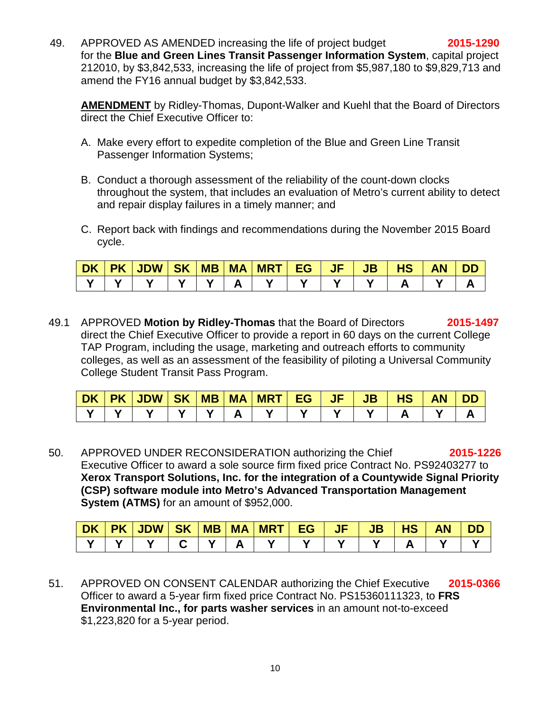49. APPROVED AS AMENDED increasing the life of project budget **2015-1290** for the **Blue and Green Lines Transit Passenger Information System**, capital project 212010, by \$3,842,533, increasing the life of project from \$5,987,180 to \$9,829,713 and amend the FY16 annual budget by \$3,842,533.

**AMENDMENT** by Ridley-Thomas, Dupont-Walker and Kuehl that the Board of Directors direct the Chief Executive Officer to:

- A. Make every effort to expedite completion of the Blue and Green Line Transit Passenger Information Systems;
- B. Conduct a thorough assessment of the reliability of the count-down clocks throughout the system, that includes an evaluation of Metro's current ability to detect and repair display failures in a timely manner; and
- C. Report back with findings and recommendations during the November 2015 Board cycle.

|  | │DK│PK│JDW│SK│MB│MA│ |  | VMRT EG | <b>AJFP</b> | <b>UL JB</b> | <b>HS</b> | <b>AN</b> | <b>DD</b> |
|--|----------------------|--|---------|-------------|--------------|-----------|-----------|-----------|
|  |                      |  |         |             |              |           |           |           |

49.1 APPROVED **Motion by Ridley-Thomas** that the Board of Directors **2015-1497** direct the Chief Executive Officer to provide a report in 60 days on the current College TAP Program, including the usage, marketing and outreach efforts to community colleges, as well as an assessment of the feasibility of piloting a Universal Community College Student Transit Pass Program.

| <b>DK</b> | <b>PK</b> | <b>JDW</b> | <b>SK</b> | <b>MB</b> | <b>MA</b> | <b>MRT</b> | EG | JF | JB | <b>HS</b> | AN | סכ |
|-----------|-----------|------------|-----------|-----------|-----------|------------|----|----|----|-----------|----|----|
|           |           |            |           |           |           |            |    |    |    |           |    |    |

50. APPROVED UNDER RECONSIDERATION authorizing the Chief **2015-1226** Executive Officer to award a sole source firm fixed price Contract No. PS92403277 to **Xerox Transport Solutions, Inc. for the integration of a Countywide Signal Priority (CSP) software module into Metro's Advanced Transportation Management System (ATMS)** for an amount of \$952,000.

| <b>DK</b> | <b>PK</b> | <b>JDW</b><br>JL | <b>SK</b> | <b>MB</b> | <b>MA</b> | <b>MRT</b> | EG | w. | IБ<br>JD | 13 | AN |  |
|-----------|-----------|------------------|-----------|-----------|-----------|------------|----|----|----------|----|----|--|
|           |           |                  |           |           |           |            |    |    |          |    |    |  |

51. APPROVED ON CONSENT CALENDAR authorizing the Chief Executive **2015-0366** Officer to award a 5-year firm fixed price Contract No. PS15360111323, to **FRS Environmental Inc., for parts washer services** in an amount not-to-exceed \$1,223,820 for a 5-year period.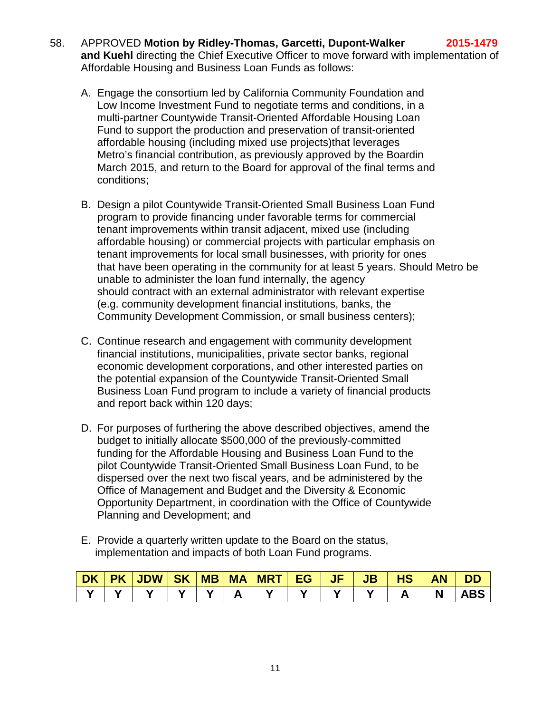- 58. APPROVED **Motion by Ridley-Thomas, Garcetti, Dupont-Walker 2015-1479 and Kuehl** directing the Chief Executive Officer to move forward with implementation of Affordable Housing and Business Loan Funds as follows:
	- A. Engage the consortium led by California Community Foundation and Low Income Investment Fund to negotiate terms and conditions, in a multi-partner Countywide Transit-Oriented Affordable Housing Loan Fund to support the production and preservation of transit-oriented affordable housing (including mixed use projects)that leverages Metro's financial contribution, as previously approved by the Boardin March 2015, and return to the Board for approval of the final terms and conditions;
	- B. Design a pilot Countywide Transit-Oriented Small Business Loan Fund program to provide financing under favorable terms for commercial tenant improvements within transit adjacent, mixed use (including affordable housing) or commercial projects with particular emphasis on tenant improvements for local small businesses, with priority for ones that have been operating in the community for at least 5 years. Should Metro be unable to administer the loan fund internally, the agency should contract with an external administrator with relevant expertise (e.g. community development financial institutions, banks, the Community Development Commission, or small business centers);
	- C. Continue research and engagement with community development financial institutions, municipalities, private sector banks, regional economic development corporations, and other interested parties on the potential expansion of the Countywide Transit-Oriented Small Business Loan Fund program to include a variety of financial products and report back within 120 days;
	- D. For purposes of furthering the above described objectives, amend the budget to initially allocate \$500,000 of the previously-committed funding for the Affordable Housing and Business Loan Fund to the pilot Countywide Transit-Oriented Small Business Loan Fund, to be dispersed over the next two fiscal years, and be administered by the Office of Management and Budget and the Diversity & Economic Opportunity Department, in coordination with the Office of Countywide Planning and Development; and
	- E. Provide a quarterly written update to the Board on the status, implementation and impacts of both Loan Fund programs.

| <b>DK</b> | <b>PK</b> | <b>JDW</b> | <b>SK</b> | <b>MB   MA</b> | <b>MRT</b> | EG | JF | <b>JB</b> | <b>HS</b> | <b>AN</b> | DD |
|-----------|-----------|------------|-----------|----------------|------------|----|----|-----------|-----------|-----------|----|
|           |           |            |           |                |            |    |    |           |           |           |    |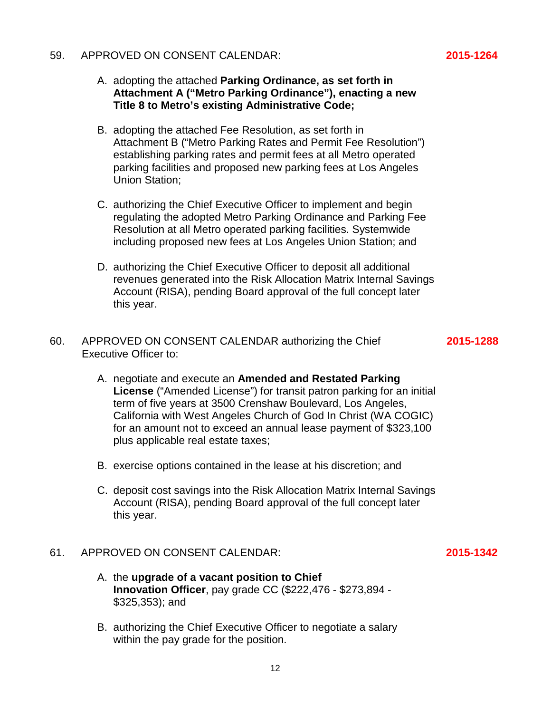#### 59. APPROVED ON CONSENT CALENDAR: **2015-1264**

- A. adopting the attached **Parking Ordinance, as set forth in Attachment A ("Metro Parking Ordinance"), enacting a new Title 8 to Metro's existing Administrative Code;**
- B. adopting the attached Fee Resolution, as set forth in Attachment B ("Metro Parking Rates and Permit Fee Resolution") establishing parking rates and permit fees at all Metro operated parking facilities and proposed new parking fees at Los Angeles Union Station;
- C. authorizing the Chief Executive Officer to implement and begin regulating the adopted Metro Parking Ordinance and Parking Fee Resolution at all Metro operated parking facilities. Systemwide including proposed new fees at Los Angeles Union Station; and
- D. authorizing the Chief Executive Officer to deposit all additional revenues generated into the Risk Allocation Matrix Internal Savings Account (RISA), pending Board approval of the full concept later this year.
- 60. APPROVED ON CONSENT CALENDAR authorizing the Chief **2015-1288** Executive Officer to:

- A. negotiate and execute an **Amended and Restated Parking License** ("Amended License") for transit patron parking for an initial term of five years at 3500 Crenshaw Boulevard, Los Angeles, California with West Angeles Church of God In Christ (WA COGIC) for an amount not to exceed an annual lease payment of \$323,100 plus applicable real estate taxes;
- B. exercise options contained in the lease at his discretion; and
- C. deposit cost savings into the Risk Allocation Matrix Internal Savings Account (RISA), pending Board approval of the full concept later this year.

### 61. APPROVED ON CONSENT CALENDAR: **2015-1342**

- A. the **upgrade of a vacant position to Chief Innovation Officer**, pay grade CC (\$222,476 - \$273,894 - \$325,353); and
- B. authorizing the Chief Executive Officer to negotiate a salary within the pay grade for the position.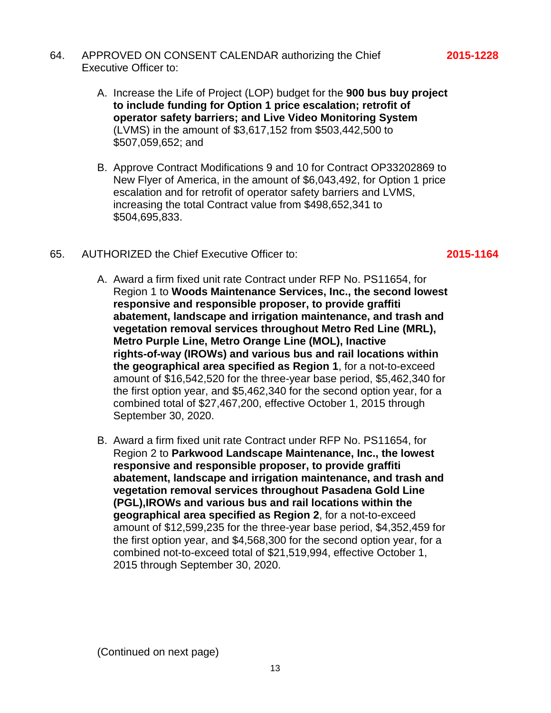- 64. APPROVED ON CONSENT CALENDAR authorizing the Chief **2015-1228** Executive Officer to:
	- A. Increase the Life of Project (LOP) budget for the **900 bus buy project to include funding for Option 1 price escalation; retrofit of operator safety barriers; and Live Video Monitoring System** (LVMS) in the amount of \$3,617,152 from \$503,442,500 to \$507,059,652; and
	- B. Approve Contract Modifications 9 and 10 for Contract OP33202869 to New Flyer of America, in the amount of \$6,043,492, for Option 1 price escalation and for retrofit of operator safety barriers and LVMS, increasing the total Contract value from \$498,652,341 to \$504,695,833.
- 65. AUTHORIZED the Chief Executive Officer to: **2015-1164**
	- A. Award a firm fixed unit rate Contract under RFP No. PS11654, for Region 1 to **Woods Maintenance Services, Inc., the second lowest responsive and responsible proposer, to provide graffiti abatement, landscape and irrigation maintenance, and trash and vegetation removal services throughout Metro Red Line (MRL), Metro Purple Line, Metro Orange Line (MOL), Inactive rights-of-way (IROWs) and various bus and rail locations within the geographical area specified as Region 1**, for a not-to-exceed amount of \$16,542,520 for the three-year base period, \$5,462,340 for the first option year, and \$5,462,340 for the second option year, for a combined total of \$27,467,200, effective October 1, 2015 through September 30, 2020.
	- B. Award a firm fixed unit rate Contract under RFP No. PS11654, for Region 2 to **Parkwood Landscape Maintenance, Inc., the lowest responsive and responsible proposer, to provide graffiti abatement, landscape and irrigation maintenance, and trash and vegetation removal services throughout Pasadena Gold Line (PGL),IROWs and various bus and rail locations within the geographical area specified as Region 2**, for a not-to-exceed amount of \$12,599,235 for the three-year base period, \$4,352,459 for the first option year, and \$4,568,300 for the second option year, for a combined not-to-exceed total of \$21,519,994, effective October 1, 2015 through September 30, 2020.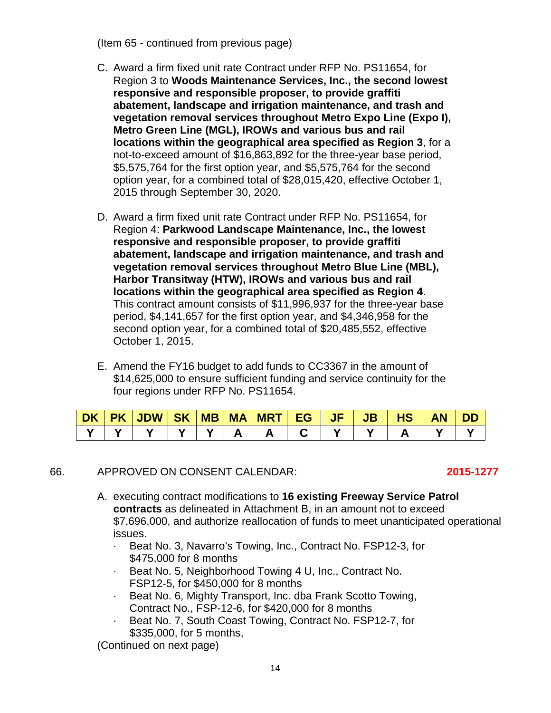(Item 65 - continued from previous page)

- C. Award a firm fixed unit rate Contract under RFP No. PS11654, for Region 3 to **Woods Maintenance Services, Inc., the second lowest responsive and responsible proposer, to provide graffiti abatement, landscape and irrigation maintenance, and trash and vegetation removal services throughout Metro Expo Line (Expo I), Metro Green Line (MGL), IROWs and various bus and rail locations within the geographical area specified as Region 3**, for a not-to-exceed amount of \$16,863,892 for the three-year base period, \$5,575,764 for the first option year, and \$5,575,764 for the second option year, for a combined total of \$28,015,420, effective October 1, 2015 through September 30, 2020.
- D. Award a firm fixed unit rate Contract under RFP No. PS11654, for Region 4: **Parkwood Landscape Maintenance, Inc., the lowest responsive and responsible proposer, to provide graffiti abatement, landscape and irrigation maintenance, and trash and vegetation removal services throughout Metro Blue Line (MBL), Harbor Transitway (HTW), IROWs and various bus and rail locations within the geographical area specified as Region 4**. This contract amount consists of \$11,996,937 for the three-year base period, \$4,141,657 for the first option year, and \$4,346,958 for the second option year, for a combined total of \$20,485,552, effective October 1, 2015.
- E. Amend the FY16 budget to add funds to CC3367 in the amount of \$14,625,000 to ensure sufficient funding and service continuity for the four regions under RFP No. PS11654.

|  | DK PK JDW SK MB MA MRT EG  JF   JB   HS |  |  |  |  | <b>AN</b> | <b>DD</b> |
|--|-----------------------------------------|--|--|--|--|-----------|-----------|
|  |                                         |  |  |  |  |           |           |

66. APPROVED ON CONSENT CALENDAR: **2015-1277**

- A. executing contract modifications to **16 existing Freeway Service Patrol contracts** as delineated in Attachment B, in an amount not to exceed \$7,696,000, and authorize reallocation of funds to meet unanticipated operational issues.
	- · Beat No. 3, Navarro's Towing, Inc., Contract No. FSP12-3, for \$475,000 for 8 months
	- · Beat No. 5, Neighborhood Towing 4 U, Inc., Contract No. FSP12-5, for \$450,000 for 8 months
	- · Beat No. 6, Mighty Transport, Inc. dba Frank Scotto Towing, Contract No., FSP-12-6, for \$420,000 for 8 months
	- Beat No. 7, South Coast Towing, Contract No. FSP12-7, for \$335,000, for 5 months,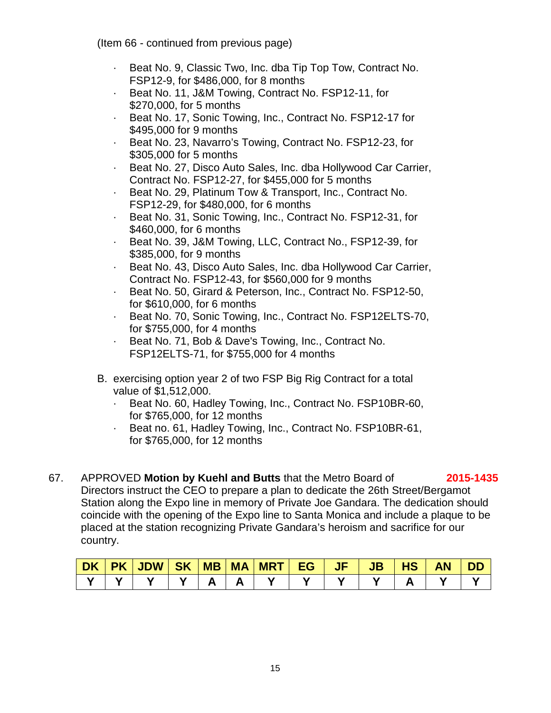(Item 66 - continued from previous page)

- · Beat No. 9, Classic Two, Inc. dba Tip Top Tow, Contract No. FSP12-9, for \$486,000, for 8 months
- · Beat No. 11, J&M Towing, Contract No. FSP12-11, for \$270,000, for 5 months
- · Beat No. 17, Sonic Towing, Inc., Contract No. FSP12-17 for \$495,000 for 9 months
- · Beat No. 23, Navarro's Towing, Contract No. FSP12-23, for \$305,000 for 5 months
- · Beat No. 27, Disco Auto Sales, Inc. dba Hollywood Car Carrier, Contract No. FSP12-27, for \$455,000 for 5 months
- · Beat No. 29, Platinum Tow & Transport, Inc., Contract No. FSP12-29, for \$480,000, for 6 months
- Beat No. 31, Sonic Towing, Inc., Contract No. FSP12-31, for \$460,000, for 6 months
- · Beat No. 39, J&M Towing, LLC, Contract No., FSP12-39, for \$385,000, for 9 months
- · Beat No. 43, Disco Auto Sales, Inc. dba Hollywood Car Carrier, Contract No. FSP12-43, for \$560,000 for 9 months
- · Beat No. 50, Girard & Peterson, Inc., Contract No. FSP12-50, for \$610,000, for 6 months
- · Beat No. 70, Sonic Towing, Inc., Contract No. FSP12ELTS-70, for \$755,000, for 4 months
- Beat No. 71, Bob & Dave's Towing, Inc., Contract No. FSP12ELTS-71, for \$755,000 for 4 months
- B. exercising option year 2 of two FSP Big Rig Contract for a total value of \$1,512,000.
	- · Beat No. 60, Hadley Towing, Inc., Contract No. FSP10BR-60, for \$765,000, for 12 months
	- · Beat no. 61, Hadley Towing, Inc., Contract No. FSP10BR-61, for \$765,000, for 12 months
- 67. APPROVED **Motion by Kuehl and Butts** that the Metro Board of **2015-1435** Directors instruct the CEO to prepare a plan to dedicate the 26th Street/Bergamot Station along the Expo line in memory of Private Joe Gandara. The dedication should coincide with the opening of the Expo line to Santa Monica and include a plaque to be placed at the station recognizing Private Gandara's heroism and sacrifice for our country.

| DK . | <b>PK JDW SK</b> | $M$ B $M$ A | <b>MRT</b> | <b>EG</b> | <b>JF</b> | $\overline{\mathsf{J}}\mathsf{B}'$ | пэ | <b>AN</b> | DD |
|------|------------------|-------------|------------|-----------|-----------|------------------------------------|----|-----------|----|
|      |                  |             |            |           |           |                                    |    |           |    |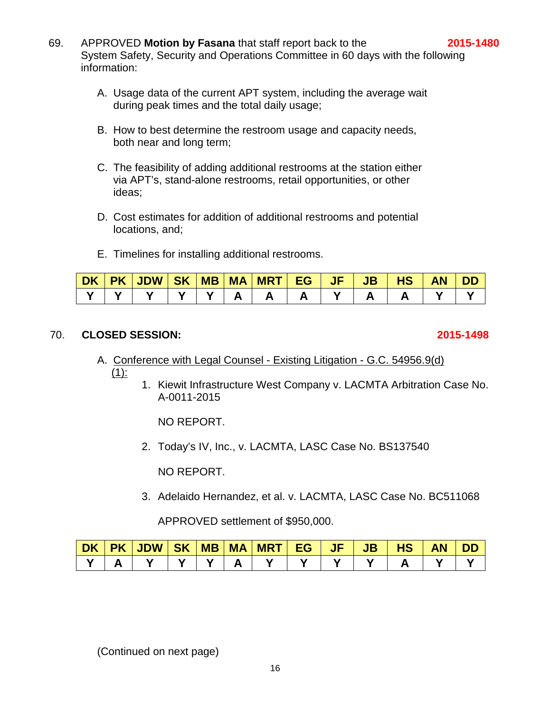- 69. APPROVED **Motion by Fasana** that staff report back to the **2015-1480** System Safety, Security and Operations Committee in 60 days with the following information:
	- A. Usage data of the current APT system, including the average wait during peak times and the total daily usage;
	- B. How to best determine the restroom usage and capacity needs, both near and long term;
	- C. The feasibility of adding additional restrooms at the station either via APT's, stand-alone restrooms, retail opportunities, or other ideas;
	- D. Cost estimates for addition of additional restrooms and potential locations, and;
	- E. Timelines for installing additional restrooms.

| <b>DK</b> | <b>PK</b> | JDW SK | MB | <b>MA</b> | MRT EG | $J$ $F$ | <b>JB</b> | нs | ΑN | Ш |
|-----------|-----------|--------|----|-----------|--------|---------|-----------|----|----|---|
|           |           |        |    |           |        |         |           |    |    |   |

### 70. **CLOSED SESSION: 2015-1498**

#### A. Conference with Legal Counsel - Existing Litigation - G.C. 54956.9(d)  $(1)$ :

1. Kiewit Infrastructure West Company v. LACMTA Arbitration Case No. A-0011-2015

NO REPORT.

2. Today's IV, Inc., v. LACMTA, LASC Case No. BS137540

NO REPORT.

3. Adelaido Hernandez, et al. v. LACMTA, LASC Case No. BC511068

APPROVED settlement of \$950,000.

| <b>DK</b> | <b>PK</b> | JDW SK | <b>MB</b> | <b>MA</b> | <b>UMRT</b> | EG | $\sqrt{F}$ | JB | HS | AN | ЛD |
|-----------|-----------|--------|-----------|-----------|-------------|----|------------|----|----|----|----|
|           |           |        |           |           |             |    |            |    |    |    |    |